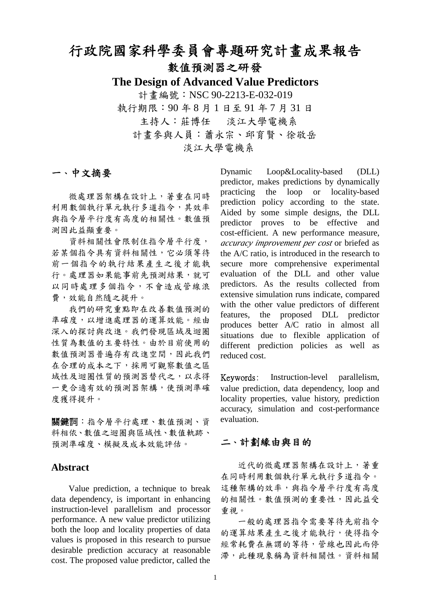# 行政院國家科學委員會專題研究計畫成果報告 數值預測器之研發

**The Design of Advanced Value Predictors** 計書編號: NSC 90-2213-E-032-019 執行期限:90 年 8 月 1 日至 91 年 7 月 31 日 主持人:莊博任 淡江大學電機系

計畫參與人員:蕭永宗、邱育賢、徐敬岳

淡江大學電機系

## 一、中文摘要

微處理器架構在設計上,著重在同時 利用數個執行單元執行多道指令,其效率 與指令層平行度有高度的相關性。數值預 測因此益顯重要。

資料相關性會限制住指令層平行度, 若某個指令具有資料相關性,它必須等待 前一個指令的執行結果產生之後才能執 行。處理器如果能事前先預測結果,就可 以同時處理多個指令,不會造成管線浪 費,效能自然隨之提升。

我們的研究重點即在改善數值預測的 準確度,以增進處理器的運算效能。經由 深入的探討與改進。我們發現區域及迴圈 性質為數值的主要特性。由於目前使用的 數值預測器普遍存有改進空間,因此我們 在合理的成本之下,採用可觀察數值之區 域性及迴圈性質的預測器替代之,以求得 一更合適有效的預測器架構,使預測準確 度獲得提升。

關鍵詞:指令層平行處理、數值預測、資 料相依、數值之迴圈與區域性、數值軌跡、 預測準確度、模擬及成本效能評估。

### **Abstract**

Value prediction, a technique to break data dependency, is important in enhancing instruction-level parallelism and processor performance. A new value predictor utilizing both the loop and locality properties of data values is proposed in this research to pursue desirable prediction accuracy at reasonable cost. The proposed value predictor, called the Dynamic Loop&Locality-based (DLL) predictor, makes predictions by dynamically practicing the loop or locality-based prediction policy according to the state. Aided by some simple designs, the DLL predictor proves to be effective and cost-efficient. A new performance measure, *accuracy improvement per cost* or briefed as the A/C ratio, is introduced in the research to secure more comprehensive experimental evaluation of the DLL and other value predictors. As the results collected from extensive simulation runs indicate, compared with the other value predictors of different features, the proposed DLL predictor produces better A/C ratio in almost all situations due to flexible application of different prediction policies as well as reduced cost.

Keywords: Instruction-level parallelism, value prediction, data dependency, loop and locality properties, value history, prediction accuracy, simulation and cost-performance evaluation.

### 二、計劃緣由與目的

近代的微處理器架構在設計上,著重 在同時利用數個執行單元執行多道指令。 這種架構的效率,與指令層平行度有高度 的相關性。數值預測的重要性,因此益受 重視。

一般的處理器指令需要等待先前指令 的運算結果產生之後才能執行,使得指令 經常耗費在無謂的等待,管線也因此而停 滯,此種現象稱為資料相關性。資料相關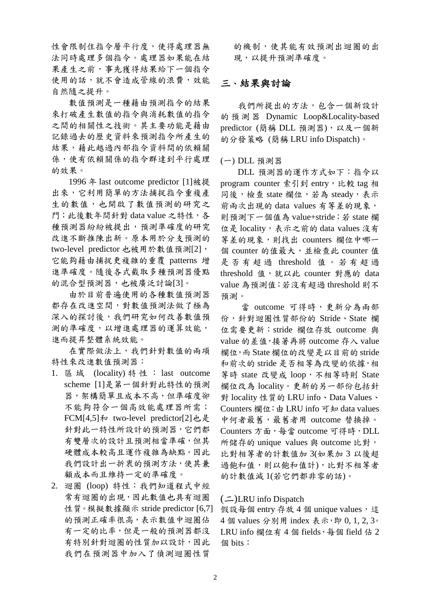性會限制住指令層平行度,使得處理器無 法同時處理多個指令。處理器如果能在結 果產生之前,事先獲得結果給下一個指令 使用的話,就不會造成管線的浪費,效能 自然隨之提升。

數值預測是一種藉由預測指令的結果 來打破產生數值的指令與消耗數值的指令 之間的相關性之技術。其主要功能是藉由 記錄過去的歷史資料來預測指令所產生的 結果,藉此越過內部指令資料間的依賴關 係,使有依賴關係的指令群達到平行處理 的效果。

1996 年 last outcome predictor [1]被提 出來,它利用簡單的方法捕捉指令重複產 生的數值,也開啟了數值預測的研究之 門;此後數年間針對 data value 之特性,各 種預測器紛紛被提出,預測準確度的研究 改進不斷推陳出新。原本用於分支預測的 two-level predictor 也被用於數值預測[2], 它能夠藉由捕捉更複雜的重覆 patterns 增 進準確度。隨後各式截取多種預測器優點 的混合型預測器,也被廣泛討論[3]。

由於目前普遍使用的各種數值預測器 都存在改進空間,對數值預測法做了極為 深入的探討後,我們研究如何改善數值預 測的準確度,以增進處理器的運算效能, 進而提昇整體系統效能。

在實際做法上,我們針對數值的兩項 特性來改進數值預測器:

- 1. 區域 (locality) 特性: last outcome scheme [1]是第一個針對此特性的預測 器,架構簡單且成本不高,但準確度卻 不能夠符合一個高效能處理器所需; FCM[4,5]和 two-level predictor[2]也是 針對此一特性所設計的預測器,它們都 有雙層次的設計且預測相當準確,但其 硬體成本較高且運作複雜為缺點。因此 我們設計出一折衷的預測方法,使其兼 顧成本而且維持一定的準確度。
- 2. 迴圈 (loop) 特性:我們知道程式中經 常有迴圈的出現,因此數值也具有迴圈 性質。模擬數據顯示 stride predictor [6,7] 的預測正確率很高,表示數值中迴圈佔 有一定的比率,但是一般的預測器都沒 有特別針對迴圈的性質加以設計,因此 我們在預測器中加入了偵測迴圈性質

的機制,使其能有效預測出迴圈的出 現,以提升預測準確度。

#### 三、結果與討論

我們所提出的方法,包含一個新設計 的預測器 Dynamic Loop&Locality-based predictor (簡稱 DLL 預測器), 以及一個新 的分發策略 (簡稱 LRU info Dispatch)。

#### (一) DLL 預測器

DLL 預測器的運作方式如下:指令以 program counter 索引到 entry, 比較 tag 相 同後,檢查 state 欄位,若為 steady,表示 前兩次出現的 data values 有等差的現象, 則預測下一個值為 value+stride;若 state 欄 位是 locality,表示之前的 data values 沒有 等差的現象,則找出 counters 欄位中哪一 個 counter 的值最大,並檢查此 counter 值 是否有超過 threshold 值。若有超過 threshold 值, 就以此 counter 對應的 data value 為預測值;若沒有超過 threshold 則不 預測。

當 outcome 可得時,更新分為兩部 份,針對迴圈性質部份的 Stride、State 欄 位需要更新:stride 欄位存放 outcome 與 value 的差值,接著再將 outcome 存入 value 欄位,而 State 欄位的改變是以目前的 stride 和前次的 stride 是否相等為改變的依據,相 等時 state 改變成 loop,不相等時則 State 欄位改為 locality。更新的另一部份包括針 對 locality 性質的 LRU info、Data Values、 Counters 欄位:由 LRU info 可知 data values 中何者最舊,最舊者用 outcome 替換掉。 Counters 方面,每當 outcome 可得時,DLL 所儲存的 unique values 與 outcome 比對, 比對相等者的計數值加 3(如果加 3 以後超 過飽和值,則以飽和值計),比對不相等者 的計數值減 1(若它們都非零的話)。

#### (二)LRU info Dispatch

假設每個 entry 存放 4 個 unique values, 這 4 個 values 分別用 index 表示,即 0, 1, 2, 3。 LRU info 欄位有 4個 fields, 每個 field 佔 2 個 bits: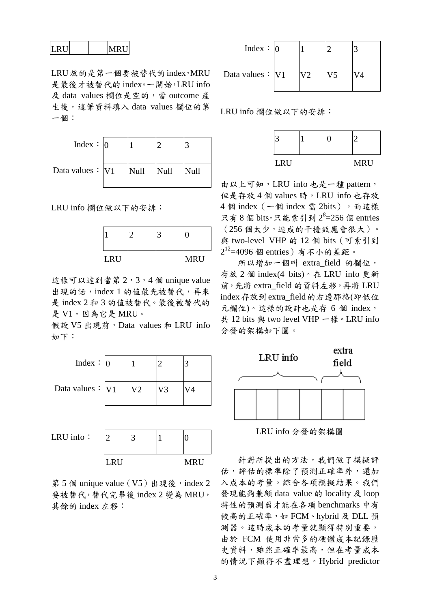| IRU. |  |  |
|------|--|--|
|------|--|--|

LRU放的是第一個要被替代的index,MRU 是最後才被替代的 index。一開始,LRU info 及 data values 欄位是空的,當 outcome 產 生後,這筆資料填入 data values 欄位的第 一個:



LRU info 欄位做以下的安排:



這樣可以達到當第2,3,4個 unique value 出現的話,index 1 的值最先被替代,再來 是 index 2 和 3 的值被替代。最後被替代的 是  $V1$ , 因為它是 MRU。

假設 V5 出現前,Data values 和 LRU info 如下:



第 5 個 unique value (V5) 出現後, index 2 要被替代,替代完畢後 index 2 變為 MRU, 其餘的 index 左移:

| Index : $ 0 $        |    |  |
|----------------------|----|--|
| Data values $:  V1 $ | V) |  |

LRU info 欄位做以下的安排:

| LRU |  | <b>MRU</b> |
|-----|--|------------|

由以上可知,LRU info 也是一種 pattern, 但是存放 4 個 values 時,LRU info 也存放 4個 index (一個 index 需 2bits),而這樣 只有8個 bits,只能索引到  $2^8$ =256個 entries (256 個太少,造成的干擾效應會很大)。 與 two-level VHP 的 12 個 bits(可索引到  $2^{12}$ =4096 個 entries) 有不小的差距。

所以增加一個叫 extra\_field 的欄位, 存放 2 個 index(4 bits)。在 LRU info 更新 前,先將 extra field 的資料左移,再將 LRU index存放到extra\_field的右邊那格(即低位 元欄位)。這樣的設計也是存 6 個 index, 共 12 bits 與 two level VHP 一樣。LRU info 分發的架構如下圖。



LRU info 分發的架構圖

針對所提出的方法,我們做了模擬評 估,評估的標準除了預測正確率外,還加 入成本的考量。綜合各項模擬結果。我們 發現能夠兼顧 data value 的 locality 及 loop 特性的預測器才能在各項 benchmarks 中有 較高的正確率,如 FCM、hybrid 及 DLL 預 測器。這時成本的考量就顯得特別重要, 由於 FCM 使用非常多的硬體成本記錄歷 史資料,雖然正確率最高,但在考量成本 的情況下顯得不盡理想。Hybrid predictor